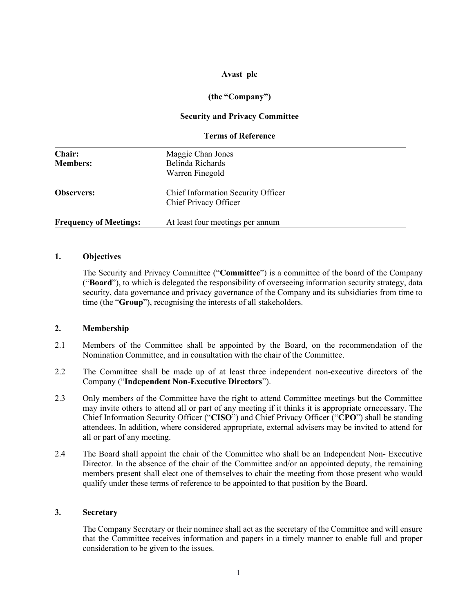## Avast plc

# (the "Company")

## Security and Privacy Committee

## Terms of Reference

| Chair:<br><b>Members:</b>     | Maggie Chan Jones<br>Belinda Richards<br>Warren Finegold           |
|-------------------------------|--------------------------------------------------------------------|
| <b>Observers:</b>             | <b>Chief Information Security Officer</b><br>Chief Privacy Officer |
| <b>Frequency of Meetings:</b> | At least four meetings per annum                                   |

### 1. Objectives

The Security and Privacy Committee ("Committee") is a committee of the board of the Company ("Board"), to which is delegated the responsibility of overseeing information security strategy, data security, data governance and privacy governance of the Company and its subsidiaries from time to time (the "Group"), recognising the interests of all stakeholders.

### 2. Membership

- 2.1 Members of the Committee shall be appointed by the Board, on the recommendation of the Nomination Committee, and in consultation with the chair of the Committee.
- 2.2 The Committee shall be made up of at least three independent non-executive directors of the Company ("Independent Non-Executive Directors").
- 2.3 Only members of the Committee have the right to attend Committee meetings but the Committee may invite others to attend all or part of any meeting if it thinks it is appropriate or necessary. The Chief Information Security Officer ("CISO") and Chief Privacy Officer ("CPO") shall be standing attendees. In addition, where considered appropriate, external advisers may be invited to attend for all or part of any meeting.
- 2.4 The Board shall appoint the chair of the Committee who shall be an Independent Non- Executive Director. In the absence of the chair of the Committee and/or an appointed deputy, the remaining members present shall elect one of themselves to chair the meeting from those present who would qualify under these terms of reference to be appointed to that position by the Board.

### 3. Secretary

The Company Secretary or their nominee shall act as the secretary of the Committee and will ensure that the Committee receives information and papers in a timely manner to enable full and proper consideration to be given to the issues.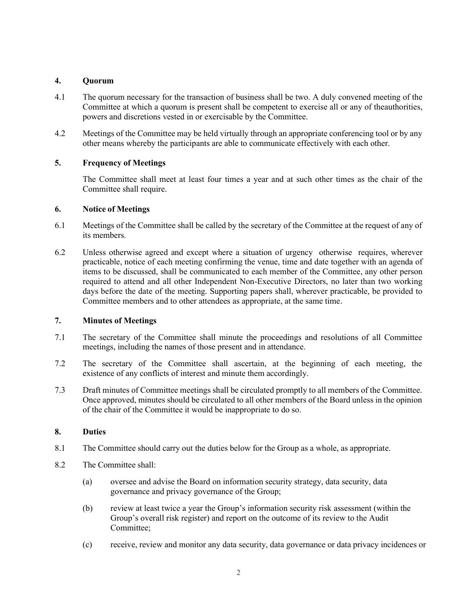# 4. Quorum

- 4.1 The quorum necessary for the transaction of business shall be two. A duly convened meeting of the Committee at which a quorum is present shall be competent to exercise all or any of the authorities, powers and discretions vested in or exercisable by the Committee.
- 4.2 Meetings of the Committee may be held virtually through an appropriate conferencing tool or by any other means whereby the participants are able to communicate effectively with each other.

# 5. Frequency of Meetings

The Committee shall meet at least four times a year and at such other times as the chair of the Committee shall require.

## 6. Notice of Meetings

- 6.1 Meetings of the Committee shall be called by the secretary of the Committee at the request of any of its members.
- 6.2 Unless otherwise agreed and except where a situation of urgency otherwise requires, wherever practicable, notice of each meeting confirming the venue, time and date together with an agenda of items to be discussed, shall be communicated to each member of the Committee, any other person required to attend and all other Independent Non-Executive Directors, no later than two working days before the date of the meeting. Supporting papers shall, wherever practicable, be provided to Committee members and to other attendees as appropriate, at the same time.

### 7. Minutes of Meetings

- 7.1 The secretary of the Committee shall minute the proceedings and resolutions of all Committee meetings, including the names of those present and in attendance.
- 7.2 The secretary of the Committee shall ascertain, at the beginning of each meeting, the existence of any conflicts of interest and minute them accordingly.
- 7.3 Draft minutes of Committee meetings shall be circulated promptly to all members of the Committee. Once approved, minutes should be circulated to all other members of the Board unless in the opinion of the chair of the Committee it would be inappropriate to do so.

### 8. Duties

- 8.1 The Committee should carry out the duties below for the Group as a whole, as appropriate.
- 8.2 The Committee shall:
	- (a) oversee and advise the Board on information security strategy, data security, data governance and privacy governance of the Group;
	- (b) review at least twice a year the Group's information security risk assessment (within the Group's overall risk register) and report on the outcome of its review to the Audit Committee;
	- (c) receive, review and monitor any data security, data governance or data privacy incidences or